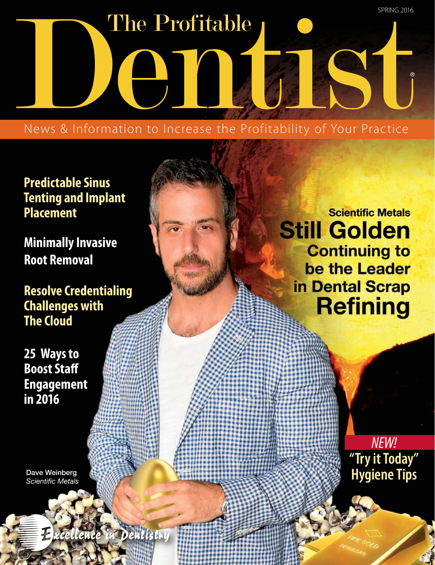SPRING 2016

The Profitable News & Information to Increase the Profitability of Your Practice ® The Profitable

## **Predictable Sinus Tenting and Implant Placement**

**Minimally Invasive Root Removal**

**Resolve Credentialing Challenges with The Cloud** 

**25 Ways to Boost Staff Engagement in 2016**

Dave Weinberg *Scientific Metals*

Dentistry

**Scientific Metals Still Golden Continuing to** be the Leader in Dental Scrap **Refining** 

> *NEW!* **"Try it Today" Hygiene Tips**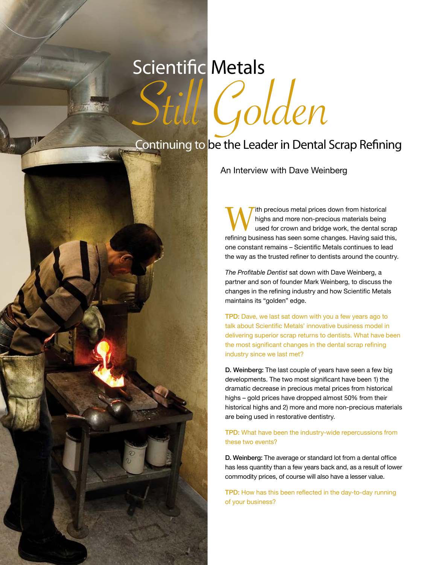# Scientific Metals

Practice Management

16 T P D S P R I N G 2 0 1 6

Continuing to be the Leader in Dental Scrap Refining

Golden

An Interview with Dave Weinberg

ith precious metal prices down from historical highs and more non-precious materials being used for crown and bridge work, the dental scrap refining business has seen some changes. Having said this, one constant remains – Scientific Metals continues to lead the way as the trusted refiner to dentists around the country.

*The Profitable Dentist* sat down with Dave Weinberg, a partner and son of founder Mark Weinberg, to discuss the changes in the refining industry and how Scientific Metals maintains its "golden" edge.

TPD: Dave, we last sat down with you a few years ago to talk about Scientific Metals' innovative business model in delivering superior scrap returns to dentists. What have been the most significant changes in the dental scrap refining industry since we last met?

D. Weinberg: The last couple of years have seen a few big developments. The two most significant have been 1) the dramatic decrease in precious metal prices from historical highs – gold prices have dropped almost 50% from their historical highs and 2) more and more non-precious materials are being used in restorative dentistry.

TPD: What have been the industry-wide repercussions from these two events?

D. Weinberg: The average or standard lot from a dental office has less quantity than a few years back and, as a result of lower commodity prices, of course will also have a lesser value.

TPD: How has this been reflected in the day-to-day running of your business?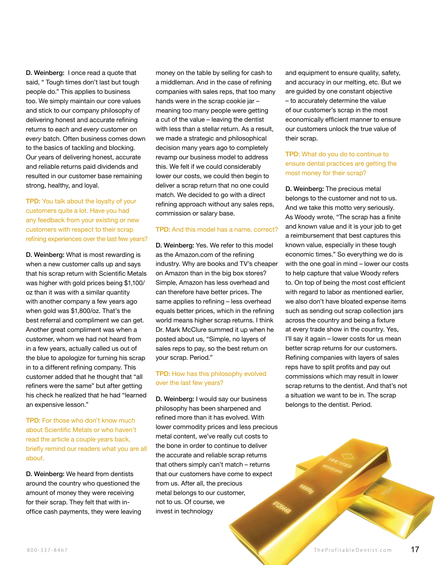D. Weinberg: I once read a quote that said, " Tough times don't last but tough people do." This applies to business too. We simply maintain our core values and stick to our company philosophy of delivering honest and accurate refining returns to *each* and *every* customer on *every* batch. Often business comes down to the basics of tackling and blocking. Our years of delivering honest, accurate and reliable returns paid dividends and resulted in our customer base remaining strong, healthy, and loyal.

TPD: You talk about the loyalty of your customers quite a lot. Have you had any feedback from your existing or new customers with respect to their scrap refining experiences over the last few years?

D. Weinberg: What is most rewarding is when a new customer calls up and says that his scrap return with Scientific Metals was higher with gold prices being \$1,100/ oz than it was with a similar quantity with another company a few years ago when gold was \$1,800/oz. That's the best referral and compliment we can get. Another great compliment was when a customer, whom we had not heard from in a few years, actually called us out of the blue to apologize for turning his scrap in to a different refining company. This customer added that he thought that "all refiners were the same" but after getting his check he realized that he had "learned an expensive lesson."

TPD: For those who don't know much about Scientific Metals or who haven't read the article a couple years back, briefly remind our readers what you are all about.

D. Weinberg: We heard from dentists around the country who questioned the amount of money they were receiving for their scrap. They felt that with inoffice cash payments, they were leaving money on the table by selling for cash to a middleman. And in the case of refining companies with sales reps, that too many hands were in the scrap cookie jar – meaning too many people were getting a cut of the value – leaving the dentist with less than a stellar return. As a result, we made a strategic and philosophical decision many years ago to completely revamp our business model to address this. We felt if we could considerably lower our costs, we could then begin to deliver a scrap return that no one could match. We decided to go with a direct refining approach without any sales reps, commission or salary base.

#### TPD: And this model has a name, correct?

D. Weinberg: Yes. We refer to this model as the Amazon.com of the refining industry. Why are books and TV's cheaper on Amazon than in the big box stores? Simple, Amazon has less overhead and can therefore have better prices. The same applies to refining – less overhead equals better prices, which in the refining world means higher scrap returns. I think Dr. Mark McClure summed it up when he posted about us, "Simple, no layers of sales reps to pay, so the best return on your scrap. Period."

#### TPD: How has this philosophy evolved over the last few years?

D. Weinberg: I would say our business philosophy has been sharpened and refined more than it has evolved. With lower commodity prices and less precious metal content, we've really cut costs to the bone in order to continue to deliver the accurate and reliable scrap returns that others simply can't match – returns that our customers have come to expect from us. After all, the precious metal belongs to our customer, not to us. Of course, we invest in technology

and equipment to ensure quality, safety, and accuracy in our melting, etc. But we are guided by one constant objective – to accurately determine the value of our customer's scrap in the most economically efficient manner to ensure our customers unlock the true value of their scrap.

#### TPD: What do you do to continue to ensure dental practices are getting the most money for their scrap?

D. Weinberg: The precious metal belongs to the customer and not to us. And we take this motto very seriously. As Woody wrote, "The scrap has a finite and known value and it is your job to get a reimbursement that best captures this known value, especially in these tough economic times." So everything we do is with the one goal in mind – lower our costs to help capture that value Woody refers to. On top of being the most cost efficient with regard to labor as mentioned earlier. we also don't have bloated expense items such as sending out scrap collection jars across the country and being a fixture at every trade show in the country. Yes, I'll say it again – lower costs for us mean better scrap returns for our customers. Refining companies with layers of sales reps have to split profits and pay out commissions which may result in lower scrap returns to the dentist. And that's not a situation we want to be in. The scrap belongs to the dentist. Period.